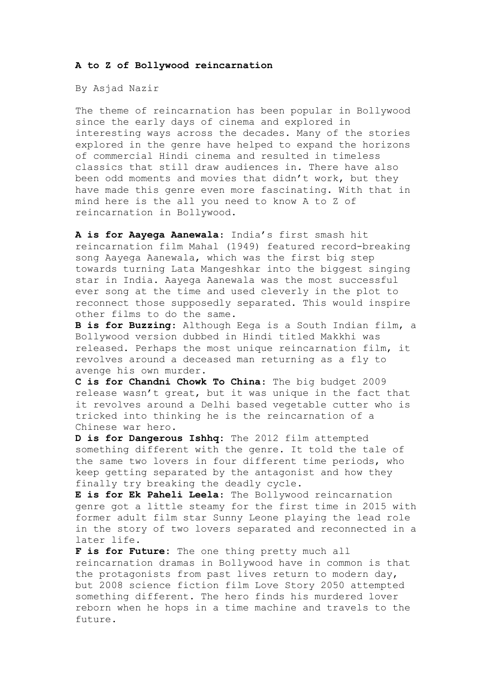## **A to Z of Bollywood reincarnation**

By Asjad Nazir

The theme of reincarnation has been popular in Bollywood since the early days of cinema and explored in interesting ways across the decades. Many of the stories explored in the genre have helped to expand the horizons of commercial Hindi cinema and resulted in timeless classics that still draw audiences in. There have also been odd moments and movies that didn't work, but they have made this genre even more fascinating. With that in mind here is the all you need to know A to Z of reincarnation in Bollywood.

**A is for Aayega Aanewala**: India's first smash hit reincarnation film Mahal (1949) featured record-breaking song Aayega Aanewala, which was the first big step towards turning Lata Mangeshkar into the biggest singing star in India. Aayega Aanewala was the most successful ever song at the time and used cleverly in the plot to reconnect those supposedly separated. This would inspire other films to do the same.

**B is for Buzzing**: Although Eega is a South Indian film, a Bollywood version dubbed in Hindi titled Makkhi was released. Perhaps the most unique reincarnation film, it revolves around a deceased man returning as a fly to avenge his own murder.

**C is for Chandni Chowk To China**: The big budget 2009 release wasn't great, but it was unique in the fact that it revolves around a Delhi based vegetable cutter who is tricked into thinking he is the reincarnation of a Chinese war hero.

**D is for Dangerous Ishhq:** The 2012 film attempted something different with the genre. It told the tale of the same two lovers in four different time periods, who keep getting separated by the antagonist and how they finally try breaking the deadly cycle.

**E is for Ek Paheli Leela**: The Bollywood reincarnation genre got a little steamy for the first time in 2015 with former adult film star Sunny Leone playing the lead role in the story of two lovers separated and reconnected in a later life.

**F is for Future:** The one thing pretty much all reincarnation dramas in Bollywood have in common is that the protagonists from past lives return to modern day, but 2008 science fiction film Love Story 2050 attempted something different. The hero finds his murdered lover reborn when he hops in a time machine and travels to the future.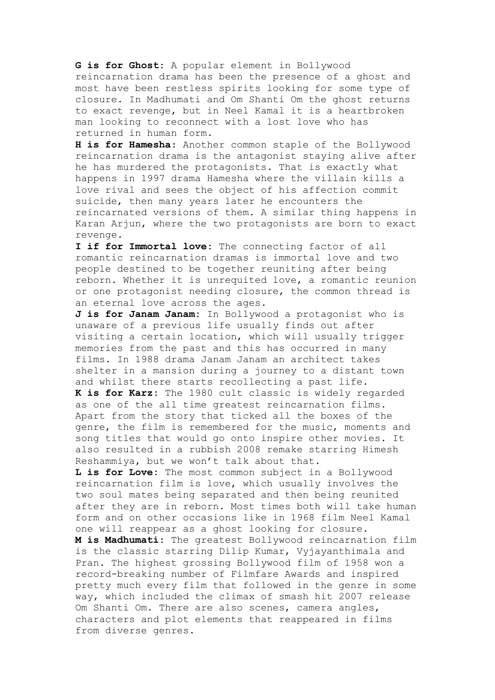**G is for Ghost**: A popular element in Bollywood reincarnation drama has been the presence of a ghost and most have been restless spirits looking for some type of closure. In Madhumati and Om Shanti Om the ghost returns to exact revenge, but in Neel Kamal it is a heartbroken man looking to reconnect with a lost love who has returned in human form.

**H is for Hamesha**: Another common staple of the Bollywood reincarnation drama is the antagonist staying alive after he has murdered the protagonists. That is exactly what happens in 1997 drama Hamesha where the villain kills a love rival and sees the object of his affection commit suicide, then many years later he encounters the reincarnated versions of them. A similar thing happens in Karan Arjun, where the two protagonists are born to exact revenge.

**I if for Immortal love:** The connecting factor of all romantic reincarnation dramas is immortal love and two people destined to be together reuniting after being reborn. Whether it is unrequited love, a romantic reunion or one protagonist needing closure, the common thread is an eternal love across the ages.

**J is for Janam Janam:** In Bollywood a protagonist who is unaware of a previous life usually finds out after visiting a certain location, which will usually trigger memories from the past and this has occurred in many films. In 1988 drama Janam Janam an architect takes shelter in a mansion during a journey to a distant town and whilst there starts recollecting a past life.

**K is for Karz:** The 1980 cult classic is widely regarded as one of the all time greatest reincarnation films. Apart from the story that ticked all the boxes of the genre, the film is remembered for the music, moments and song titles that would go onto inspire other movies. It also resulted in a rubbish 2008 remake starring Himesh Reshammiya, but we won't talk about that.

**L is for Love:** The most common subject in a Bollywood reincarnation film is love, which usually involves the two soul mates being separated and then being reunited after they are in reborn. Most times both will take human form and on other occasions like in 1968 film Neel Kamal one will reappear as a ghost looking for closure.

**M is Madhumati**: The greatest Bollywood reincarnation film is the classic starring Dilip Kumar, Vyjayanthimala and Pran. The highest grossing Bollywood film of 1958 won a record-breaking number of Filmfare Awards and inspired pretty much every film that followed in the genre in some way, which included the climax of smash hit 2007 release Om Shanti Om. There are also scenes, camera angles, characters and plot elements that reappeared in films from diverse genres.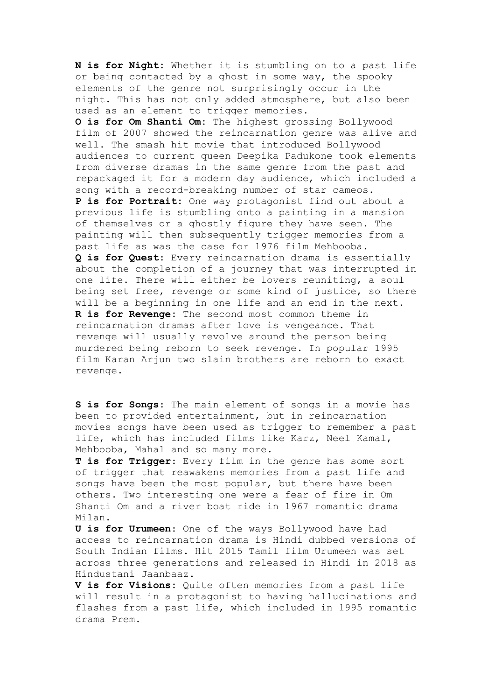**N is for Night:** Whether it is stumbling on to a past life or being contacted by a ghost in some way, the spooky elements of the genre not surprisingly occur in the night. This has not only added atmosphere, but also been used as an element to trigger memories.

**O is for Om Shanti Om:** The highest grossing Bollywood film of 2007 showed the reincarnation genre was alive and well. The smash hit movie that introduced Bollywood audiences to current queen Deepika Padukone took elements from diverse dramas in the same genre from the past and repackaged it for a modern day audience, which included a song with a record-breaking number of star cameos. **P is for Portrait:** One way protagonist find out about a previous life is stumbling onto a painting in a mansion of themselves or a ghostly figure they have seen. The painting will then subsequently trigger memories from a past life as was the case for 1976 film Mehbooba. **Q is for Quest**: Every reincarnation drama is essentially about the completion of a journey that was interrupted in one life. There will either be lovers reuniting, a soul being set free, revenge or some kind of justice, so there will be a beginning in one life and an end in the next. **R is for Revenge:** The second most common theme in reincarnation dramas after love is vengeance. That revenge will usually revolve around the person being murdered being reborn to seek revenge. In popular 1995 film Karan Arjun two slain brothers are reborn to exact revenge.

**S is for Songs**: The main element of songs in a movie has been to provided entertainment, but in reincarnation movies songs have been used as trigger to remember a past life, which has included films like Karz, Neel Kamal, Mehbooba, Mahal and so many more.

**T is for Trigger**: Every film in the genre has some sort of trigger that reawakens memories from a past life and songs have been the most popular, but there have been others. Two interesting one were a fear of fire in Om Shanti Om and a river boat ride in 1967 romantic drama Milan.

**U is for Urumeen**: One of the ways Bollywood have had access to reincarnation drama is Hindi dubbed versions of South Indian films. Hit 2015 Tamil film Urumeen was set across three generations and released in Hindi in 2018 as Hindustani Jaanbaaz.

**V is for Visions:** Quite often memories from a past life will result in a protagonist to having hallucinations and flashes from a past life, which included in 1995 romantic drama Prem.